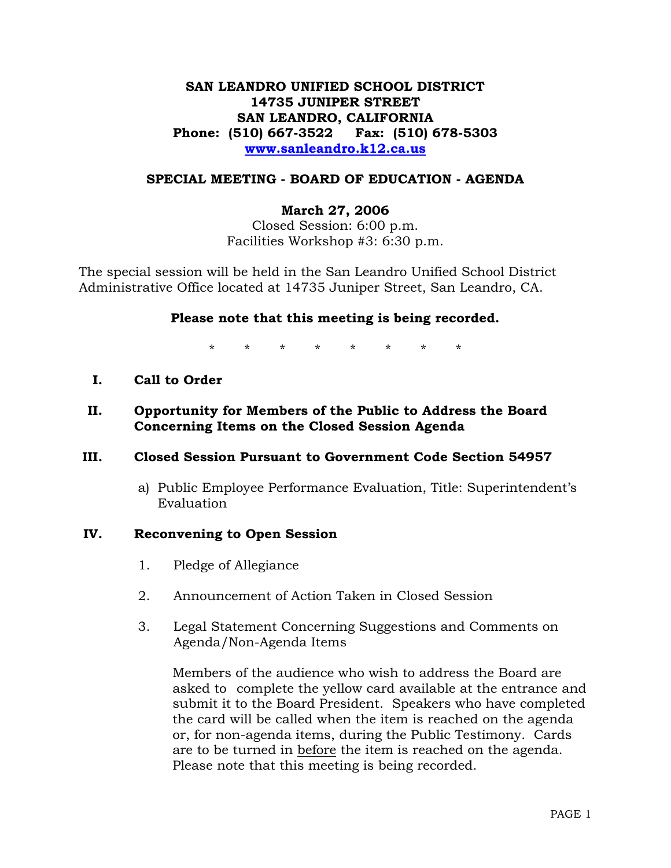## **SAN LEANDRO UNIFIED SCHOOL DISTRICT 14735 JUNIPER STREET SAN LEANDRO, CALIFORNIA Phone: (510) 667-3522 Fax: (510) 678-5303 www.sanleandro.k12.ca.us**

#### **SPECIAL MEETING - BOARD OF EDUCATION - AGENDA**

#### **March 27, 2006**

Closed Session: 6:00 p.m. Facilities Workshop #3: 6:30 p.m.

The special session will be held in the San Leandro Unified School District Administrative Office located at 14735 Juniper Street, San Leandro, CA.

#### **Please note that this meeting is being recorded.**

\* \* \* \* \* \* \* \*

- **I. Call to Order**
- **II. Opportunity for Members of the Public to Address the Board Concerning Items on the Closed Session Agenda**

#### **III. Closed Session Pursuant to Government Code Section 54957**

 a) Public Employee Performance Evaluation, Title: Superintendent's Evaluation

#### **IV. Reconvening to Open Session**

- 1. Pledge of Allegiance
- 2. Announcement of Action Taken in Closed Session
- 3. Legal Statement Concerning Suggestions and Comments on Agenda/Non-Agenda Items

 Members of the audience who wish to address the Board are asked to complete the yellow card available at the entrance and submit it to the Board President. Speakers who have completed the card will be called when the item is reached on the agenda or, for non-agenda items, during the Public Testimony. Cards are to be turned in before the item is reached on the agenda. Please note that this meeting is being recorded.